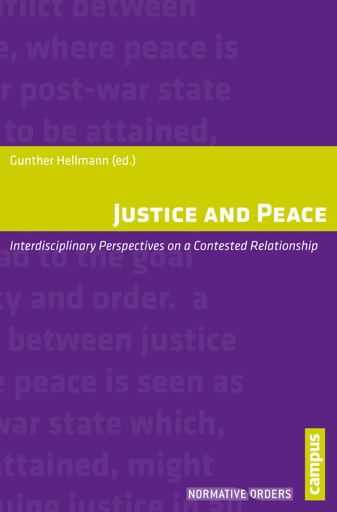**Gunther Hellmann (ed.)** 

# **JUSTICE AND PEACE**

**Interdisciplinary Perspectives on a Contested Relationship** 

NORMATIVE ORDERS

camque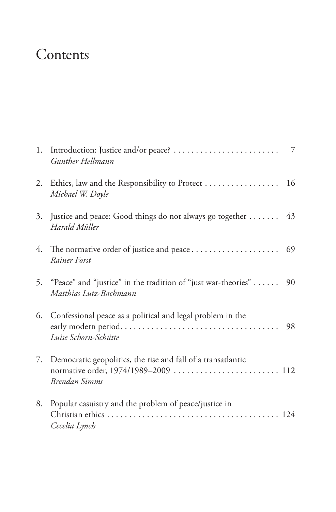## Contents

|    | Gunther Hellmann                                                                                                      |    |
|----|-----------------------------------------------------------------------------------------------------------------------|----|
| 2. | Ethics, law and the Responsibility to Protect 16<br>Michael W. Doyle                                                  |    |
| 3. | Justice and peace: Good things do not always go together 43<br>Harald Müller                                          |    |
|    | Rainer Forst                                                                                                          | 69 |
|    | 5. "Peace" and "justice" in the tradition of "just war-theories"<br>Matthias Lutz-Bachmann                            | 90 |
|    | 6. Confessional peace as a political and legal problem in the<br>Luise Schorn-Schütte                                 | 98 |
| 7. | Democratic geopolitics, the rise and fall of a transatlantic<br>normative order, 1974/1989-2009  112<br>Brendan Simms |    |
| 8. | Popular casuistry and the problem of peace/justice in<br>Cecelia Lynch                                                |    |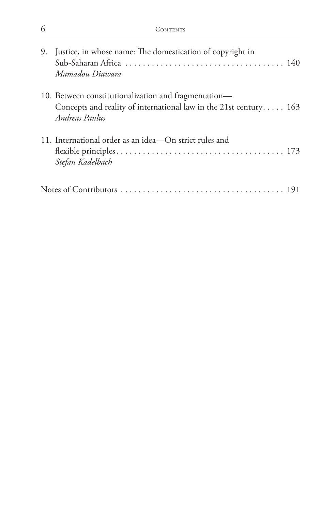| 9. Justice, in whose name: The domestication of copyright in<br>Mamadou Diawara                                                             |  |
|---------------------------------------------------------------------------------------------------------------------------------------------|--|
| 10. Between constitutionalization and fragmentation—<br>Concepts and reality of international law in the 21st century 163<br>Andreas Paulus |  |
| 11. International order as an idea—On strict rules and<br>Stefan Kadelbach                                                                  |  |
|                                                                                                                                             |  |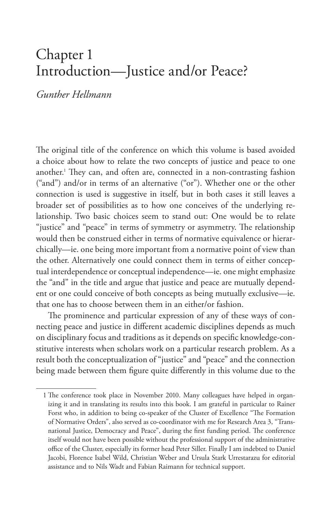### Chapter 1 Introduction—Justice and/or Peace?

#### *Gunther Hellmann*

The original title of the conference on which this volume is based avoided a choice about how to relate the two concepts of justice and peace to one another.1 They can, and often are, connected in a non-contrasting fashion ("and") and/or in terms of an alternative ("or"). Whether one or the other connection is used is suggestive in itself, but in both cases it still leaves a broader set of possibilities as to how one conceives of the underlying relationship. Two basic choices seem to stand out: One would be to relate "justice" and "peace" in terms of symmetry or asymmetry. The relationship would then be construed either in terms of normative equivalence or hierarchically—ie. one being more important from a normative point of view than the other. Alternatively one could connect them in terms of either conceptual interdependence or conceptual independence—ie. one might emphasize the "and" in the title and argue that justice and peace are mutually dependent or one could conceive of both concepts as being mutually exclusive—ie. that one has to choose between them in an either/or fashion.

The prominence and particular expression of any of these ways of connecting peace and justice in different academic disciplines depends as much on disciplinary focus and traditions as it depends on specific knowledge-constitutive interests when scholars work on a particular research problem. As a result both the conceptualization of "justice" and "peace" and the connection being made between them figure quite differently in this volume due to the

<sup>1</sup> The conference took place in November 2010. Many colleagues have helped in organizing it and in translating its results into this book. I am grateful in particular to Rainer Forst who, in addition to being co-speaker of the Cluster of Excellence "The Formation of Normative Orders", also served as co-coordinator with me for Research Area 3, "Transnational Justice, Democracy and Peace", during the first funding period. The conference itself would not have been possible without the professional support of the administrative office of the Cluster, especially its former head Peter Siller. Finally I am indebted to Daniel Jacobi, Florence Isabel Wild, Christian Weber and Ursula Stark Urrestarazu for editorial assistance and to Nils Wadt and Fabian Raimann for technical support.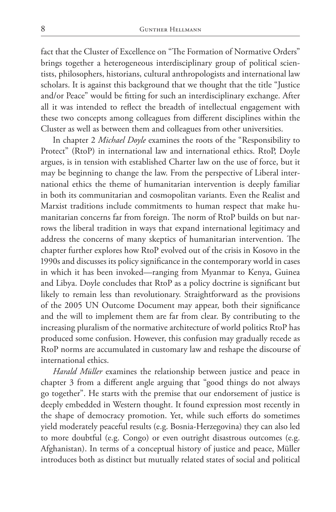fact that the Cluster of Excellence on "The Formation of Normative Orders" brings together a heterogeneous interdisciplinary group of political scientists, philosophers, historians, cultural anthropologists and international law scholars. It is against this background that we thought that the title "Justice and/or Peace" would be fitting for such an interdisciplinary exchange. After all it was intended to reflect the breadth of intellectual engagement with these two concepts among colleagues from different disciplines within the Cluster as well as between them and colleagues from other universities.

In chapter 2 *Michael Doyle* examines the roots of the "Responsibility to Protect" (RtoP) in international law and international ethics. RtoP, Doyle argues, is in tension with established Charter law on the use of force, but it may be beginning to change the law. From the perspective of Liberal international ethics the theme of humanitarian intervention is deeply familiar in both its communitarian and cosmopolitan variants. Even the Realist and Marxist traditions include commitments to human respect that make humanitarian concerns far from foreign. The norm of RtoP builds on but narrows the liberal tradition in ways that expand international legitimacy and address the concerns of many skeptics of humanitarian intervention. The chapter further explores how RtoP evolved out of the crisis in Kosovo in the 1990s and discusses its policy significance in the contemporary world in cases in which it has been invoked—ranging from Myanmar to Kenya, Guinea and Libya. Doyle concludes that RtoP as a policy doctrine is significant but likely to remain less than revolutionary. Straightforward as the provisions of the 2005 UN Outcome Document may appear, both their significance and the will to implement them are far from clear. By contributing to the increasing pluralism of the normative architecture of world politics RtoP has produced some confusion. However, this confusion may gradually recede as RtoP norms are accumulated in customary law and reshape the discourse of international ethics.

*Harald Müller* examines the relationship between justice and peace in chapter 3 from a different angle arguing that "good things do not always go together". He starts with the premise that our endorsement of justice is deeply embedded in Western thought. It found expression most recently in the shape of democracy promotion. Yet, while such efforts do sometimes yield moderately peaceful results (e.g. Bosnia-Herzegovina) they can also led to more doubtful (e.g. Congo) or even outright disastrous outcomes (e.g. Afghanistan). In terms of a conceptual history of justice and peace, Müller introduces both as distinct but mutually related states of social and political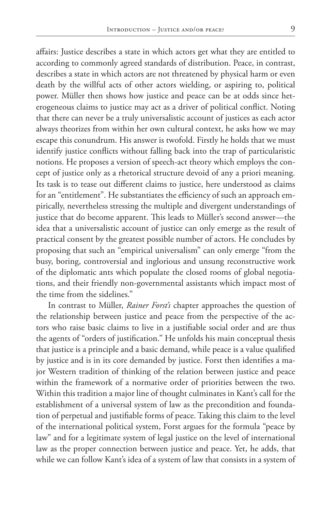affairs: Justice describes a state in which actors get what they are entitled to according to commonly agreed standards of distribution. Peace, in contrast, describes a state in which actors are not threatened by physical harm or even death by the willful acts of other actors wielding, or aspiring to, political power. Müller then shows how justice and peace can be at odds since heterogeneous claims to justice may act as a driver of political conflict. Noting that there can never be a truly universalistic account of justices as each actor always theorizes from within her own cultural context, he asks how we may escape this conundrum. His answer is twofold. Firstly he holds that we must identify justice conflicts without falling back into the trap of particularistic notions. He proposes a version of speech-act theory which employs the concept of justice only as a rhetorical structure devoid of any a priori meaning. Its task is to tease out different claims to justice, here understood as claims for an "entitlement". He substantiates the efficiency of such an approach empirically, nevertheless stressing the multiple and divergent understandings of justice that do become apparent. This leads to Müller's second answer—the idea that a universalistic account of justice can only emerge as the result of practical consent by the greatest possible number of actors. He concludes by proposing that such an "empirical universalism" can only emerge "from the busy, boring, controversial and inglorious and unsung reconstructive work of the diplomatic ants which populate the closed rooms of global negotiations, and their friendly non-governmental assistants which impact most of the time from the sidelines."

In contrast to Müller, *Rainer Forst's* chapter approaches the question of the relationship between justice and peace from the perspective of the actors who raise basic claims to live in a justifiable social order and are thus the agents of "orders of justification." He unfolds his main conceptual thesis that justice is a principle and a basic demand, while peace is a value qualified by justice and is in its core demanded by justice. Forst then identifies a major Western tradition of thinking of the relation between justice and peace within the framework of a normative order of priorities between the two. Within this tradition a major line of thought culminates in Kant's call for the establishment of a universal system of law as the precondition and foundation of perpetual and justifiable forms of peace. Taking this claim to the level of the international political system, Forst argues for the formula "peace by law" and for a legitimate system of legal justice on the level of international law as the proper connection between justice and peace. Yet, he adds, that while we can follow Kant's idea of a system of law that consists in a system of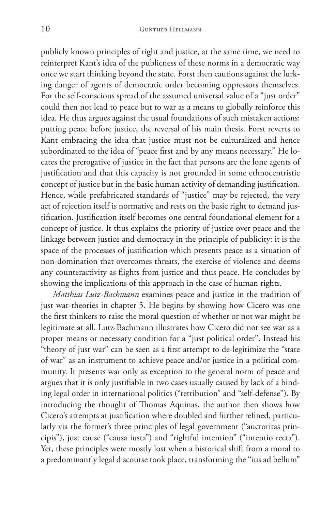publicly known principles of right and justice, at the same time, we need to reinterpret Kant's idea of the publicness of these norms in a democratic way once we start thinking beyond the state. Forst then cautions against the lurking danger of agents of democratic order becoming oppressors themselves. For the self-conscious spread of the assumed universal value of a "just order" could then not lead to peace but to war as a means to globally reinforce this idea. He thus argues against the usual foundations of such mistaken actions: putting peace before justice, the reversal of his main thesis. Forst reverts to Kant embracing the idea that justice must not be culturalized and hence subordinated to the idea of "peace first and by any means necessary." He locates the prerogative of justice in the fact that persons are the lone agents of justification and that this capacity is not grounded in some ethnocentristic concept of justice but in the basic human activity of demanding justification. Hence, while prefabricated standards of "justice" may be rejected, the very act of rejection itself is normative and rests on the basic right to demand justification. Justification itself becomes one central foundational element for a concept of justice. It thus explains the priority of justice over peace and the linkage between justice and democracy in the principle of publicity: it is the space of the processes of justification which presents peace as a situation of non-domination that overcomes threats, the exercise of violence and deems any counteractivity as flights from justice and thus peace. He concludes by showing the implications of this approach in the case of human rights.

*Matthias Lutz-Bachmann* examines peace and justice in the tradition of just war-theories in chapter 5. He begins by showing how Cicero was one the first thinkers to raise the moral question of whether or not war might be legitimate at all. Lutz-Bachmann illustrates how Cicero did not see war as a proper means or necessary condition for a "just political order". Instead his "theory of just war" can be seen as a first attempt to de-legitimize the "state of war" as an instrument to achieve peace and/or justice in a political community. It presents war only as exception to the general norm of peace and argues that it is only justifiable in two cases usually caused by lack of a binding legal order in international politics ("retribution" and "self-defense"). By introducing the thought of Thomas Aquinas, the author then shows how Cicero's attempts at justification where doubled and further refined, particularly via the former's three principles of legal government ("auctoritas principis"), just cause ("causa iusta") and "rightful intention" ("intentio recta"). Yet, these principles were mostly lost when a historical shift from a moral to a predominantly legal discourse took place, transforming the "ius ad bellum"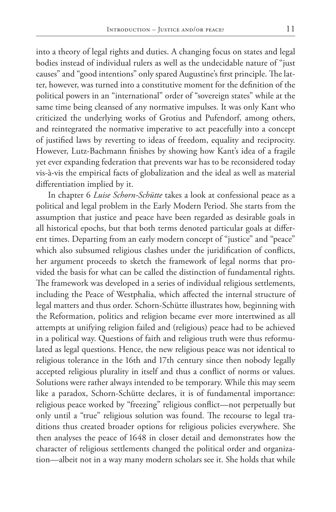into a theory of legal rights and duties. A changing focus on states and legal bodies instead of individual rulers as well as the undecidable nature of "just causes" and "good intentions" only spared Augustine's first principle. The latter, however, was turned into a constitutive moment for the definition of the political powers in an "international" order of "sovereign states" while at the same time being cleansed of any normative impulses. It was only Kant who criticized the underlying works of Grotius and Pufendorf, among others, and reintegrated the normative imperative to act peacefully into a concept of justified laws by reverting to ideas of freedom, equality and reciprocity. However, Lutz-Bachmann finishes by showing how Kant's idea of a fragile yet ever expanding federation that prevents war has to be reconsidered today vis-à-vis the empirical facts of globalization and the ideal as well as material differentiation implied by it.

In chapter 6 *Luise Schorn-Schütte* takes a look at confessional peace as a political and legal problem in the Early Modern Period. She starts from the assumption that justice and peace have been regarded as desirable goals in all historical epochs, but that both terms denoted particular goals at different times. Departing from an early modern concept of "justice" and "peace" which also subsumed religious clashes under the juridification of conflicts, her argument proceeds to sketch the framework of legal norms that provided the basis for what can be called the distinction of fundamental rights. The framework was developed in a series of individual religious settlements, including the Peace of Westphalia, which affected the internal structure of legal matters and thus order. Schorn-Schütte illustrates how, beginning with the Reformation, politics and religion became ever more intertwined as all attempts at unifying religion failed and (religious) peace had to be achieved in a political way. Questions of faith and religious truth were thus reformulated as legal questions. Hence, the new religious peace was not identical to religious tolerance in the 16th and 17th century since then nobody legally accepted religious plurality in itself and thus a conflict of norms or values. Solutions were rather always intended to be temporary. While this may seem like a paradox, Schorn-Schütte declares, it is of fundamental importance: religious peace worked by "freezing" religious conflict—not perpetually but only until a "true" religious solution was found. The recourse to legal traditions thus created broader options for religious policies everywhere. She then analyses the peace of 1648 in closer detail and demonstrates how the character of religious settlements changed the political order and organization—albeit not in a way many modern scholars see it. She holds that while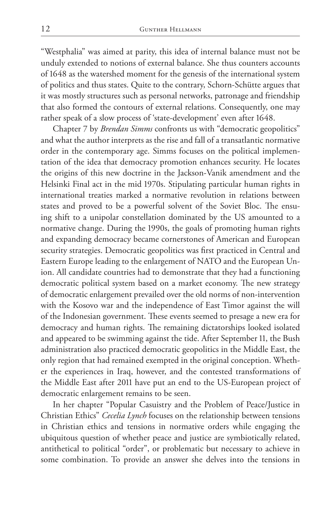"Westphalia" was aimed at parity, this idea of internal balance must not be unduly extended to notions of external balance. She thus counters accounts of 1648 as the watershed moment for the genesis of the international system of politics and thus states. Quite to the contrary, Schorn-Schütte argues that it was mostly structures such as personal networks, patronage and friendship that also formed the contours of external relations. Consequently, one may rather speak of a slow process of 'state-development' even after 1648.

Chapter 7 by *Brendan Simms* confronts us with "democratic geopolitics" and what the author interprets as the rise and fall of a transatlantic normative order in the contemporary age. Simms focuses on the political implementation of the idea that democracy promotion enhances security. He locates the origins of this new doctrine in the Jackson-Vanik amendment and the Helsinki Final act in the mid 1970s. Stipulating particular human rights in international treaties marked a normative revolution in relations between states and proved to be a powerful solvent of the Soviet Bloc. The ensuing shift to a unipolar constellation dominated by the US amounted to a normative change. During the 1990s, the goals of promoting human rights and expanding democracy became cornerstones of American and European security strategies. Democratic geopolitics was first practiced in Central and Eastern Europe leading to the enlargement of NATO and the European Union. All candidate countries had to demonstrate that they had a functioning democratic political system based on a market economy. The new strategy of democratic enlargement prevailed over the old norms of non-intervention with the Kosovo war and the independence of East Timor against the will of the Indonesian government. These events seemed to presage a new era for democracy and human rights. The remaining dictatorships looked isolated and appeared to be swimming against the tide. After September 11, the Bush administration also practiced democratic geopolitics in the Middle East, the only region that had remained exempted in the original conception. Whether the experiences in Iraq, however, and the contested transformations of the Middle East after 2011 have put an end to the US-European project of democratic enlargement remains to be seen.

In her chapter "Popular Casuistry and the Problem of Peace/Justice in Christian Ethics" *Cecelia Lynch* focuses on the relationship between tensions in Christian ethics and tensions in normative orders while engaging the ubiquitous question of whether peace and justice are symbiotically related, antithetical to political "order", or problematic but necessary to achieve in some combination. To provide an answer she delves into the tensions in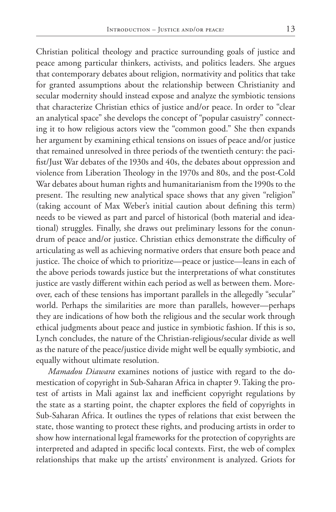Christian political theology and practice surrounding goals of justice and peace among particular thinkers, activists, and politics leaders. She argues that contemporary debates about religion, normativity and politics that take for granted assumptions about the relationship between Christianity and secular modernity should instead expose and analyze the symbiotic tensions that characterize Christian ethics of justice and/or peace. In order to "clear an analytical space" she develops the concept of "popular casuistry" connecting it to how religious actors view the "common good." She then expands her argument by examining ethical tensions on issues of peace and/or justice that remained unresolved in three periods of the twentieth century: the pacifist/Just War debates of the 1930s and 40s, the debates about oppression and violence from Liberation Theology in the 1970s and 80s, and the post-Cold War debates about human rights and humanitarianism from the 1990s to the present. The resulting new analytical space shows that any given "religion" (taking account of Max Weber's initial caution about defining this term) needs to be viewed as part and parcel of historical (both material and ideational) struggles. Finally, she draws out preliminary lessons for the conundrum of peace and/or justice. Christian ethics demonstrate the difficulty of articulating as well as achieving normative orders that ensure both peace and justice. The choice of which to prioritize—peace or justice—leans in each of the above periods towards justice but the interpretations of what constitutes justice are vastly different within each period as well as between them. Moreover, each of these tensions has important parallels in the allegedly "secular" world. Perhaps the similarities are more than parallels, however—perhaps they are indications of how both the religious and the secular work through ethical judgments about peace and justice in symbiotic fashion. If this is so, Lynch concludes, the nature of the Christian-religious/secular divide as well as the nature of the peace/justice divide might well be equally symbiotic, and equally without ultimate resolution.

*Mamadou Diawara* examines notions of justice with regard to the domestication of copyright in Sub-Saharan Africa in chapter 9. Taking the protest of artists in Mali against lax and inefficient copyright regulations by the state as a starting point, the chapter explores the field of copyrights in Sub-Saharan Africa. It outlines the types of relations that exist between the state, those wanting to protect these rights, and producing artists in order to show how international legal frameworks for the protection of copyrights are interpreted and adapted in specific local contexts. First, the web of complex relationships that make up the artists' environment is analyzed. Griots for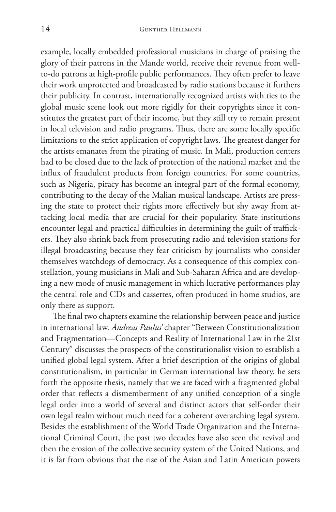example, locally embedded professional musicians in charge of praising the glory of their patrons in the Mande world, receive their revenue from wellto-do patrons at high-profile public performances. They often prefer to leave their work unprotected and broadcasted by radio stations because it furthers their publicity. In contrast, internationally recognized artists with ties to the global music scene look out more rigidly for their copyrights since it constitutes the greatest part of their income, but they still try to remain present in local television and radio programs. Thus, there are some locally specific limitations to the strict application of copyright laws. The greatest danger for the artists emanates from the pirating of music. In Mali, production centers had to be closed due to the lack of protection of the national market and the influx of fraudulent products from foreign countries. For some countries, such as Nigeria, piracy has become an integral part of the formal economy, contributing to the decay of the Malian musical landscape. Artists are pressing the state to protect their rights more effectively but shy away from attacking local media that are crucial for their popularity. State institutions encounter legal and practical difficulties in determining the guilt of traffickers. They also shrink back from prosecuting radio and television stations for illegal broadcasting because they fear criticism by journalists who consider themselves watchdogs of democracy. As a consequence of this complex constellation, young musicians in Mali and Sub-Saharan Africa and are developing a new mode of music management in which lucrative performances play the central role and CDs and cassettes, often produced in home studios, are only there as support.

The final two chapters examine the relationship between peace and justice in international law. *Andreas Paulus'* chapter "Between Constitutionalization and Fragmentation—Concepts and Reality of International Law in the 21st Century" discusses the prospects of the constitutionalist vision to establish a unified global legal system. After a brief description of the origins of global constitutionalism, in particular in German international law theory, he sets forth the opposite thesis, namely that we are faced with a fragmented global order that reflects a dismemberment of any unified conception of a single legal order into a world of several and distinct actors that self-order their own legal realm without much need for a coherent overarching legal system. Besides the establishment of the World Trade Organization and the International Criminal Court, the past two decades have also seen the revival and then the erosion of the collective security system of the United Nations, and it is far from obvious that the rise of the Asian and Latin American powers